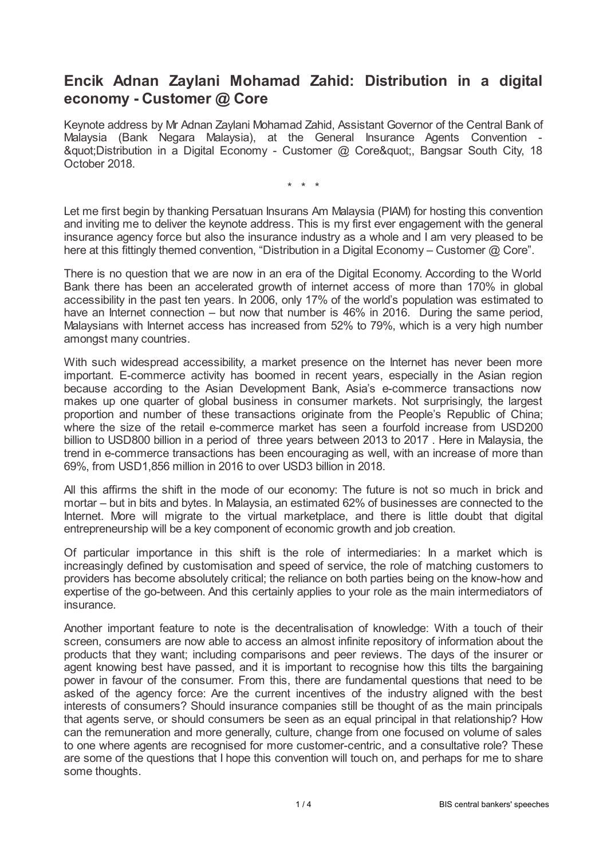## **Encik Adnan Zaylani Mohamad Zahid: Distribution in a digital economy - Customer @ Core**

Keynote address by Mr Adnan Zaylani Mohamad Zahid, Assistant Governor of the Central Bank of Malaysia (Bank Negara Malaysia), at the General Insurance Agents Convention - " Distribution in a Digital Economy - Customer @ Core", Bangsar South City, 18 October 2018.

\* \* \*

Let me first begin by thanking Persatuan Insurans Am Malaysia (PIAM) for hosting this convention and inviting me to deliver the keynote address. This is my first ever engagement with the general insurance agency force but also the insurance industry as a whole and I am very pleased to be here at this fittingly themed convention, "Distribution in a Digital Economy - Customer @ Core".

There is no question that we are now in an era of the Digital Economy. According to the World Bank there has been an accelerated growth of internet access of more than 170% in global accessibility in the past ten years. In 2006, only 17% of the world's population was estimated to have an Internet connection – but now that number is 46% in 2016. During the same period, Malaysians with Internet access has increased from 52% to 79%, which is a very high number amongst many countries.

With such widespread accessibility, a market presence on the Internet has never been more important. E-commerce activity has boomed in recent years, especially in the Asian region because according to the Asian Development Bank, Asia's e-commerce transactions now makes up one quarter of global business in consumer markets. Not surprisingly, the largest proportion and number of these transactions originate from the People's Republic of China; where the size of the retail e-commerce market has seen a fourfold increase from USD200 billion to USD800 billion in a period of three years between 2013 to 2017 . Here in Malaysia, the trend in e-commerce transactions has been encouraging as well, with an increase of more than 69%, from USD1,856 million in 2016 to over USD3 billion in 2018.

All this affirms the shift in the mode of our economy: The future is not so much in brick and mortar – but in bits and bytes. In Malaysia, an estimated 62% of businesses are connected to the Internet. More will migrate to the virtual marketplace, and there is little doubt that digital entrepreneurship will be a key component of economic growth and job creation.

Of particular importance in this shift is the role of intermediaries: In a market which is increasingly defined by customisation and speed of service, the role of matching customers to providers has become absolutely critical; the reliance on both parties being on the know-how and expertise of the go-between. And this certainly applies to your role as the main intermediators of insurance.

Another important feature to note is the decentralisation of knowledge: With a touch of their screen, consumers are now able to access an almost infinite repository of information about the products that they want; including comparisons and peer reviews. The days of the insurer or agent knowing best have passed, and it is important to recognise how this tilts the bargaining power in favour of the consumer. From this, there are fundamental questions that need to be asked of the agency force: Are the current incentives of the industry aligned with the best interests of consumers? Should insurance companies still be thought of as the main principals that agents serve, or should consumers be seen as an equal principal in that relationship? How can the remuneration and more generally, culture, change from one focused on volume of sales to one where agents are recognised for more customer-centric, and a consultative role? These are some of the questions that I hope this convention will touch on, and perhaps for me to share some thoughts.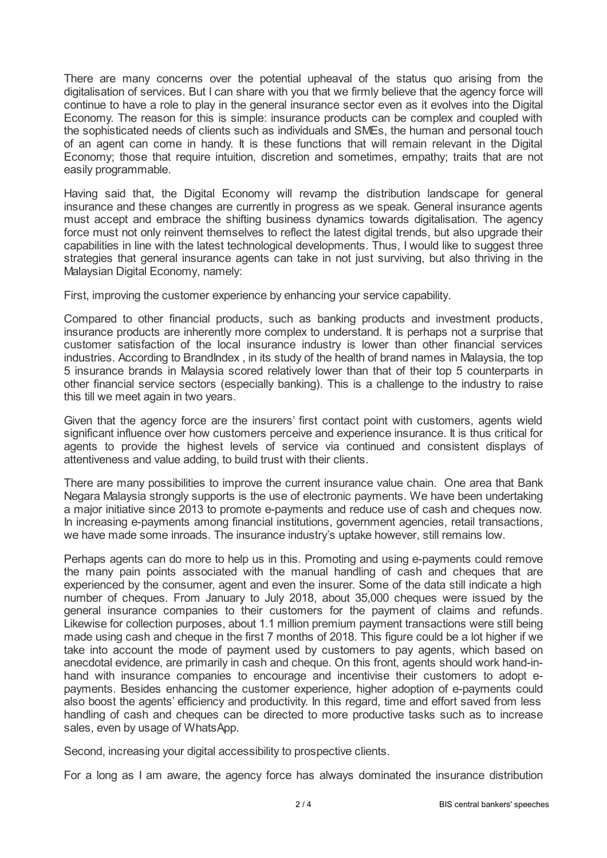There are many concerns over the potential upheaval of the status quo arising from the digitalisation of services. But I can share with you that we firmly believe that the agency force will continue to have a role to play in the general insurance sector even as it evolves into the Digital Economy. The reason for this is simple: insurance products can be complex and coupled with the sophisticated needs of clients such as individuals and SMEs, the human and personal touch of an agent can come in handy. It is these functions that will remain relevant in the Digital Economy; those that require intuition, discretion and sometimes, empathy; traits that are not easily programmable.

Having said that, the Digital Economy will revamp the distribution landscape for general insurance and these changes are currently in progress as we speak. General insurance agents must accept and embrace the shifting business dynamics towards digitalisation. The agency force must not only reinvent themselves to reflect the latest digital trends, but also upgrade their capabilities in line with the latest technological developments. Thus, I would like to suggest three strategies that general insurance agents can take in not just surviving, but also thriving in the Malaysian Digital Economy, namely:

First, improving the customer experience by enhancing your service capability.

Compared to other financial products, such as banking products and investment products, insurance products are inherently more complex to understand. It is perhaps not a surprise that customer satisfaction of the local insurance industry is lower than other financial services industries. According to BrandIndex , in its study of the health of brand names in Malaysia, the top 5 insurance brands in Malaysia scored relatively lower than that of their top 5 counterparts in other financial service sectors (especially banking). This is a challenge to the industry to raise this till we meet again in two years.

Given that the agency force are the insurers' first contact point with customers, agents wield significant influence over how customers perceive and experience insurance. It is thus critical for agents to provide the highest levels of service via continued and consistent displays of attentiveness and value adding, to build trust with their clients.

There are many possibilities to improve the current insurance value chain. One area that Bank Negara Malaysia strongly supports is the use of electronic payments. We have been undertaking a major initiative since 2013 to promote e-payments and reduce use of cash and cheques now. In increasing e-payments among financial institutions, government agencies, retail transactions, we have made some inroads. The insurance industry's uptake however, still remains low.

Perhaps agents can do more to help us in this. Promoting and using e-payments could remove the many pain points associated with the manual handling of cash and cheques that are experienced by the consumer, agent and even the insurer. Some of the data still indicate a high number of cheques. From January to July 2018, about 35,000 cheques were issued by the general insurance companies to their customers for the payment of claims and refunds. Likewise for collection purposes, about 1.1 million premium payment transactions were still being made using cash and cheque in the first 7 months of 2018. This figure could be a lot higher if we take into account the mode of payment used by customers to pay agents, which based on anecdotal evidence, are primarily in cash and cheque. On this front, agents should work hand-inhand with insurance companies to encourage and incentivise their customers to adopt epayments. Besides enhancing the customer experience, higher adoption of e-payments could also boost the agents' efficiency and productivity. In this regard, time and effort saved from less handling of cash and cheques can be directed to more productive tasks such as to increase sales, even by usage of WhatsApp.

Second, increasing your digital accessibility to prospective clients.

For a long as I am aware, the agency force has always dominated the insurance distribution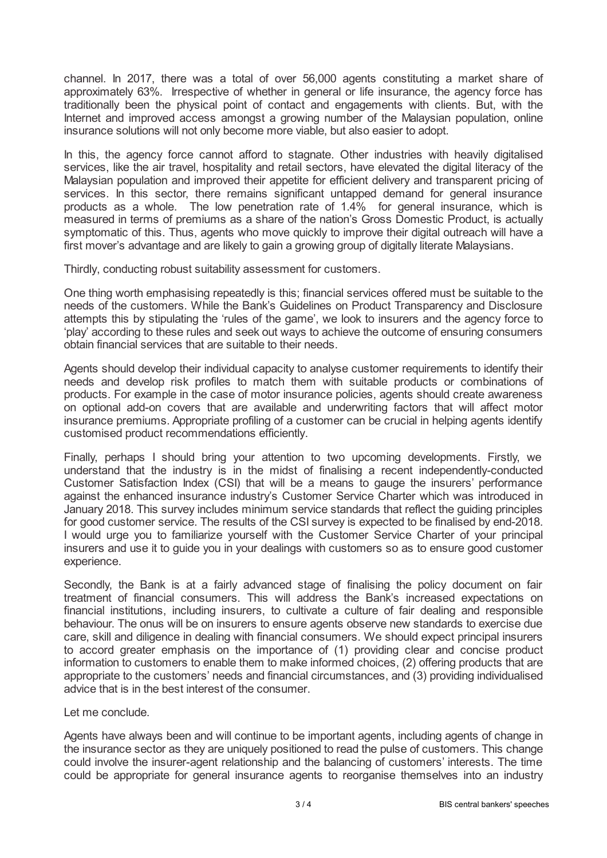channel. In 2017, there was a total of over 56,000 agents constituting a market share of approximately 63%. Irrespective of whether in general or life insurance, the agency force has traditionally been the physical point of contact and engagements with clients. But, with the Internet and improved access amongst a growing number of the Malaysian population, online insurance solutions will not only become more viable, but also easier to adopt.

In this, the agency force cannot afford to stagnate. Other industries with heavily digitalised services, like the air travel, hospitality and retail sectors, have elevated the digital literacy of the Malaysian population and improved their appetite for efficient delivery and transparent pricing of services. In this sector, there remains significant untapped demand for general insurance products as a whole. The low penetration rate of 1.4% for general insurance, which is measured in terms of premiums as a share of the nation's Gross Domestic Product, is actually symptomatic of this. Thus, agents who move quickly to improve their digital outreach will have a first mover's advantage and are likely to gain a growing group of digitally literate Malaysians.

Thirdly, conducting robust suitability assessment for customers.

One thing worth emphasising repeatedly is this; financial services offered must be suitable to the needs of the customers. While the Bank's Guidelines on Product Transparency and Disclosure attempts this by stipulating the 'rules of the game', we look to insurers and the agency force to 'play' according to these rules and seek out ways to achieve the outcome of ensuring consumers obtain financial services that are suitable to their needs.

Agents should develop their individual capacity to analyse customer requirements to identify their needs and develop risk profiles to match them with suitable products or combinations of products. For example in the case of motor insurance policies, agents should create awareness on optional add-on covers that are available and underwriting factors that will affect motor insurance premiums. Appropriate profiling of a customer can be crucial in helping agents identify customised product recommendations efficiently.

Finally, perhaps I should bring your attention to two upcoming developments. Firstly, we understand that the industry is in the midst of finalising a recent independently-conducted Customer Satisfaction Index (CSI) that will be a means to gauge the insurers' performance against the enhanced insurance industry's Customer Service Charter which was introduced in January 2018. This survey includes minimum service standards that reflect the guiding principles for good customer service. The results of the CSI survey is expected to be finalised by end-2018. I would urge you to familiarize yourself with the Customer Service Charter of your principal insurers and use it to guide you in your dealings with customers so as to ensure good customer experience.

Secondly, the Bank is at a fairly advanced stage of finalising the policy document on fair treatment of financial consumers. This will address the Bank's increased expectations on financial institutions, including insurers, to cultivate a culture of fair dealing and responsible behaviour. The onus will be on insurers to ensure agents observe new standards to exercise due care, skill and diligence in dealing with financial consumers. We should expect principal insurers to accord greater emphasis on the importance of (1) providing clear and concise product information to customers to enable them to make informed choices, (2) offering products that are appropriate to the customers' needs and financial circumstances, and (3) providing individualised advice that is in the best interest of the consumer.

Let me conclude.

Agents have always been and will continue to be important agents, including agents of change in the insurance sector as they are uniquely positioned to read the pulse of customers. This change could involve the insurer-agent relationship and the balancing of customers' interests. The time could be appropriate for general insurance agents to reorganise themselves into an industry